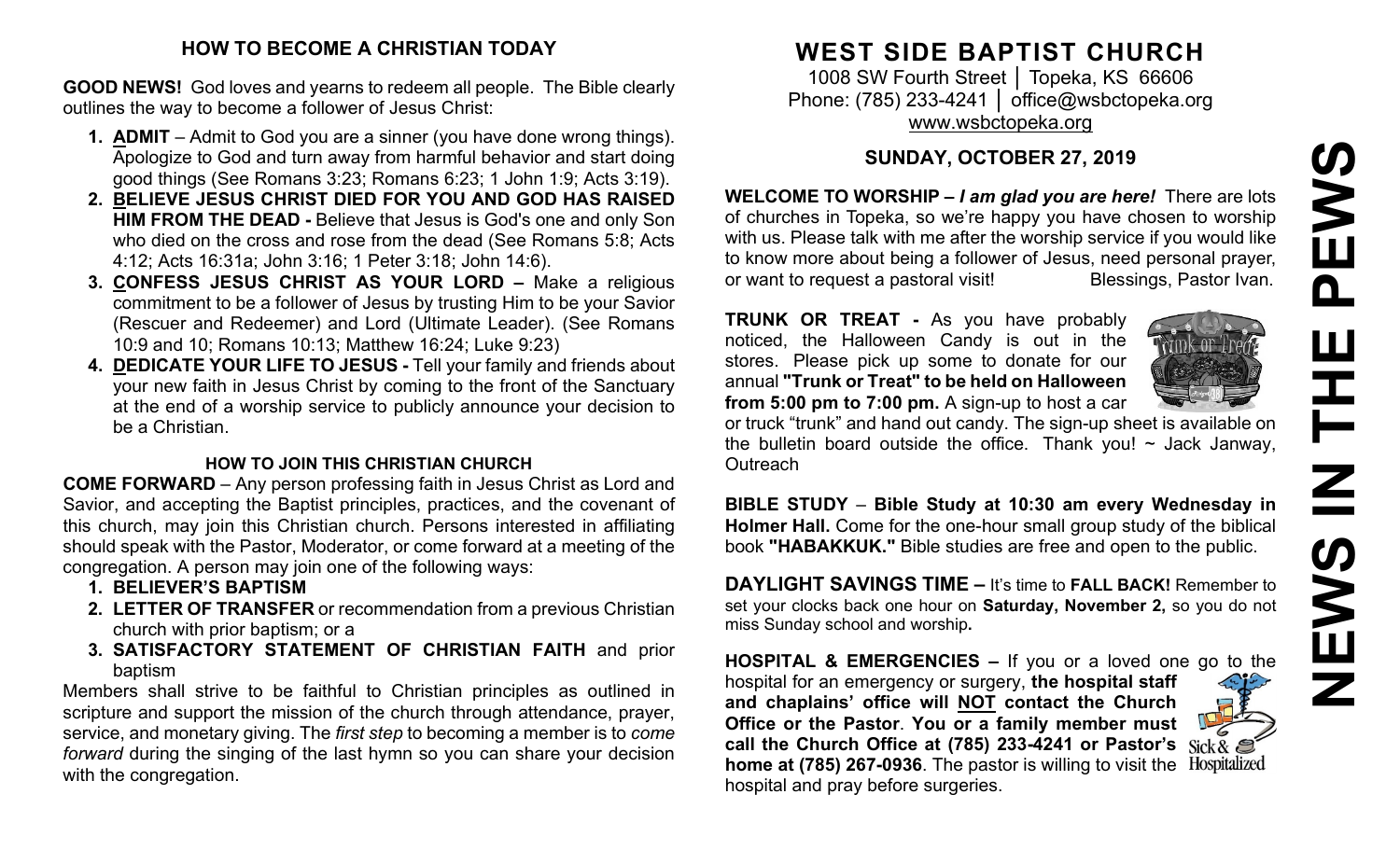# **HOW TO BECOME A CHRISTIAN TODAY**

**GOOD NEWS!** God loves and yearns to redeem all people. The Bible clearly outlines the way to become a follower of Jesus Christ:

- **1. ADMIT** Admit to God you are a sinner (you have done wrong things). Apologize to God and turn away from harmful behavior and start doing good things (See Romans 3:23; Romans 6:23; 1 John 1:9; Acts 3:19).
- **2. BELIEVE JESUS CHRIST DIED FOR YOU AND GOD HAS RAISED HIM FROM THE DEAD -** Believe that Jesus is God's one and only Son who died on the cross and rose from the dead (See Romans 5:8; Acts 4:12; Acts 16:31a; John 3:16; 1 Peter 3:18; John 14:6).
- **3. CONFESS JESUS CHRIST AS YOUR LORD –** Make a religious commitment to be a follower of Jesus by trusting Him to be your Savior (Rescuer and Redeemer) and Lord (Ultimate Leader). (See Romans 10:9 and 10; Romans 10:13; Matthew 16:24; Luke 9:23)
- **4. DEDICATE YOUR LIFE TO JESUS -** Tell your family and friends about your new faith in Jesus Christ by coming to the front of the Sanctuary at the end of a worship service to publicly announce your decision to be a Christian.

#### **HOW TO JOIN THIS CHRISTIAN CHURCH**

**COME FORWARD** – Any person professing faith in Jesus Christ as Lord and Savior, and accepting the Baptist principles, practices, and the covenant of this church, may join this Christian church. Persons interested in affiliating should speak with the Pastor, Moderator, or come forward at a meeting of the congregation. A person may join one of the following ways:

- **1. BELIEVER'S BAPTISM**
- **2. LETTER OF TRANSFER** or recommendation from a previous Christian church with prior baptism; or a
- **3. SATISFACTORY STATEMENT OF CHRISTIAN FAITH** and prior baptism

Members shall strive to be faithful to Christian principles as outlined in scripture and support the mission of the church through attendance, prayer, service, and monetary giving. The *first step* to becoming a member is to *come forward* during the singing of the last hymn so you can share your decision with the congregation.

# **WEST SIDE BAPTIST CHURCH**

1008 SW Fourth Street | Topeka, KS 66606 Phone: (785) 233-4241 │ [office@wsbctopeka.org](mailto:office@wsbctopeka.org) [www.wsbctopeka.org](http://www.wsbctopeka.org/)

# **SUNDAY, OCTOBER 27, 2019**

**WELCOME TO WORSHIP –** *I am glad you are here!* There are lots of churches in Topeka, so we're happy you have chosen to worship with us. Please talk with me after the worship service if you would like to know more about being a follower of Jesus, need personal prayer, or want to request a pastoral visit!<br>
Blessings, Pastor Ivan.

**TRUNK OR TREAT -** As you have probably noticed, the Halloween Candy is out in the stores. Please pick up some to donate for our annual **"Trunk or Treat" to be held on Halloween from 5:00 pm to 7:00 pm.** A sign-up to host a car



or truck "trunk" and hand out candy. The sign-up sheet is available on the bulletin board outside the office. Thank you!  $\sim$  Jack Janway, **Outreach** 

**BIBLE STUDY** – **Bible Study at 10:30 am every Wednesday in Holmer Hall.** Come for the one-hour small group study of the biblical book **"HABAKKUK."** Bible studies are free and open to the public.

**DAYLIGHT SAVINGS TIME –** It's time to **FALL BACK!** Remember to set your clocks back one hour on **Saturday, November 2,** so you do not miss Sunday school and worship**.**

**HOSPITAL & EMERGENCIES –** If you or a loved one go to the hospital for an emergency or surgery, **the hospital staff and chaplains' office will NOT contact the Church Office or the Pastor**. **You or a family member must call the Church Office at (785) 233-4241 or Pastor's**  Hospitalized **home at (785) 267-0936**. The pastor is willing to visit the hospital and pray before surgeries.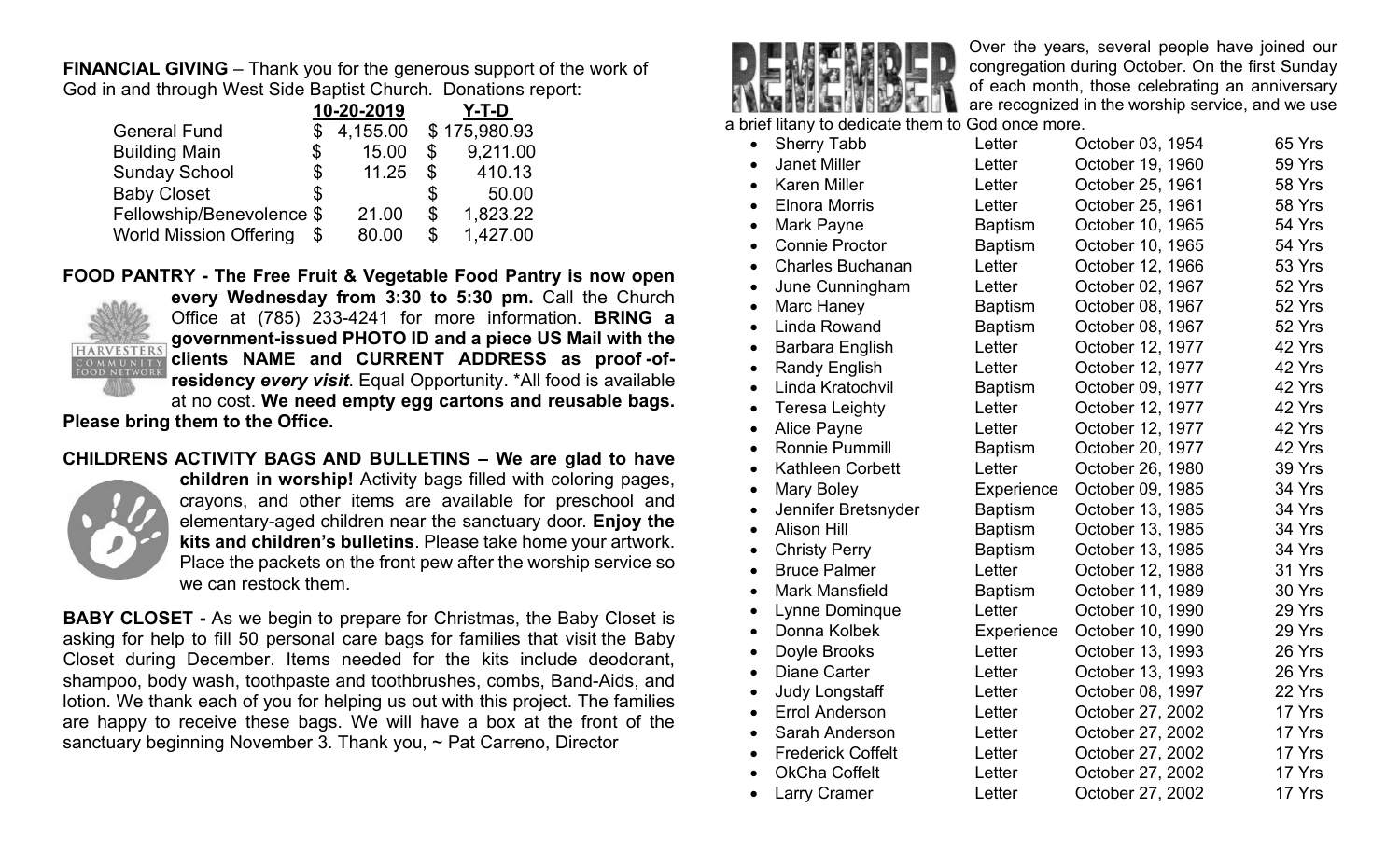**FINANCIAL GIVING** – Thank you for the generous support of the work of God in and through West Side Baptist Church. Donations report:

|                               |    | 10-20-2019 |                | Y-T-D        |
|-------------------------------|----|------------|----------------|--------------|
| <b>General Fund</b>           | S  | 4,155.00   |                | \$175,980.93 |
| <b>Building Main</b>          | \$ | 15.00      | \$             | 9,211.00     |
| <b>Sunday School</b>          | \$ | 11.25      | $\mathbb{S}^-$ | 410.13       |
| <b>Baby Closet</b>            | \$ |            | \$             | 50.00        |
| Fellowship/Benevolence \$     |    | 21.00      | \$             | 1,823.22     |
| <b>World Mission Offering</b> |    | 80.00      | \$             | 1,427.00     |

**FOOD PANTRY - The Free Fruit & Vegetable Food Pantry is now open** 



**every Wednesday from 3:30 to 5:30 pm.** Call the Church Office at (785) 233-4241 for more information. **BRING a government-issued PHOTO ID and a piece US Mail with the clients NAME and CURRENT ADDRESS as proof -ofresidency** *every visit*. Equal Opportunity. \*All food is available at no cost. **We need empty egg cartons and reusable bags. Please bring them to the Office.**

#### **CHILDRENS ACTIVITY BAGS AND BULLETINS – We are glad to have**



**children in worship!** Activity bags filled with coloring pages, crayons, and other items are available for preschool and elementary-aged children near the sanctuary door. **Enjoy the kits and children's bulletins**. Please take home your artwork. Place the packets on the front pew after the worship service so we can restock them.

**BABY CLOSET -** As we begin to prepare for Christmas, the Baby Closet is asking for help to fill 50 personal care bags for families that visit the Baby Closet during December. Items needed for the kits include deodorant, shampoo, body wash, toothpaste and toothbrushes, combs, Band-Aids, and lotion. We thank each of you for helping us out with this project. The families are happy to receive these bags. We will have a box at the front of the sanctuary beginning November 3. Thank you, ~ Pat Carreno, Director



Over the years, several people have joined our congregation during October. On the first Sunday of each month, those celebrating an anniversary are recognized in the worship service, and we use

a brief litany to dedicate them to God once more.

| $\bullet$ | <b>Sherry Tabb</b>       | Letter         | October 03, 1954 | 65 Yrs |
|-----------|--------------------------|----------------|------------------|--------|
| $\bullet$ | <b>Janet Miller</b>      | Letter         | October 19, 1960 | 59 Yrs |
| $\bullet$ | <b>Karen Miller</b>      | Letter         | October 25, 1961 | 58 Yrs |
| $\bullet$ | <b>Elnora Morris</b>     | Letter         | October 25, 1961 | 58 Yrs |
| $\bullet$ | Mark Payne               | <b>Baptism</b> | October 10, 1965 | 54 Yrs |
| $\bullet$ | <b>Connie Proctor</b>    | <b>Baptism</b> | October 10, 1965 | 54 Yrs |
| $\bullet$ | <b>Charles Buchanan</b>  | Letter         | October 12, 1966 | 53 Yrs |
| $\bullet$ | June Cunningham          | Letter         | October 02, 1967 | 52 Yrs |
| $\bullet$ | Marc Haney               | <b>Baptism</b> | October 08, 1967 | 52 Yrs |
| $\bullet$ | <b>Linda Rowand</b>      | <b>Baptism</b> | October 08, 1967 | 52 Yrs |
| $\bullet$ | Barbara English          | Letter         | October 12, 1977 | 42 Yrs |
| $\bullet$ | <b>Randy English</b>     | Letter         | October 12, 1977 | 42 Yrs |
| $\bullet$ | Linda Kratochvil         | <b>Baptism</b> | October 09, 1977 | 42 Yrs |
| $\bullet$ | <b>Teresa Leighty</b>    | Letter         | October 12, 1977 | 42 Yrs |
| $\bullet$ | <b>Alice Payne</b>       | Letter         | October 12, 1977 | 42 Yrs |
| $\bullet$ | Ronnie Pummill           | <b>Baptism</b> | October 20, 1977 | 42 Yrs |
| $\bullet$ | <b>Kathleen Corbett</b>  | Letter         | October 26, 1980 | 39 Yrs |
| $\bullet$ | <b>Mary Boley</b>        | Experience     | October 09, 1985 | 34 Yrs |
| $\bullet$ | Jennifer Bretsnyder      | <b>Baptism</b> | October 13, 1985 | 34 Yrs |
| $\bullet$ | <b>Alison Hill</b>       | <b>Baptism</b> | October 13, 1985 | 34 Yrs |
| $\bullet$ | <b>Christy Perry</b>     | <b>Baptism</b> | October 13, 1985 | 34 Yrs |
| $\bullet$ | <b>Bruce Palmer</b>      | Letter         | October 12, 1988 | 31 Yrs |
| $\bullet$ | <b>Mark Mansfield</b>    | <b>Baptism</b> | October 11, 1989 | 30 Yrs |
| $\bullet$ | Lynne Dominque           | Letter         | October 10, 1990 | 29 Yrs |
| $\bullet$ | Donna Kolbek             | Experience     | October 10, 1990 | 29 Yrs |
| $\bullet$ | Doyle Brooks             | Letter         | October 13, 1993 | 26 Yrs |
| $\bullet$ | <b>Diane Carter</b>      | Letter         | October 13, 1993 | 26 Yrs |
| $\bullet$ | <b>Judy Longstaff</b>    | Letter         | October 08, 1997 | 22 Yrs |
| $\bullet$ | <b>Errol Anderson</b>    | Letter         | October 27, 2002 | 17 Yrs |
| $\bullet$ | Sarah Anderson           | Letter         | October 27, 2002 | 17 Yrs |
| $\bullet$ | <b>Frederick Coffelt</b> | Letter         | October 27, 2002 | 17 Yrs |
| $\bullet$ | <b>OkCha Coffelt</b>     | Letter         | October 27, 2002 | 17 Yrs |
| $\bullet$ | <b>Larry Cramer</b>      | Letter         | October 27, 2002 | 17 Yrs |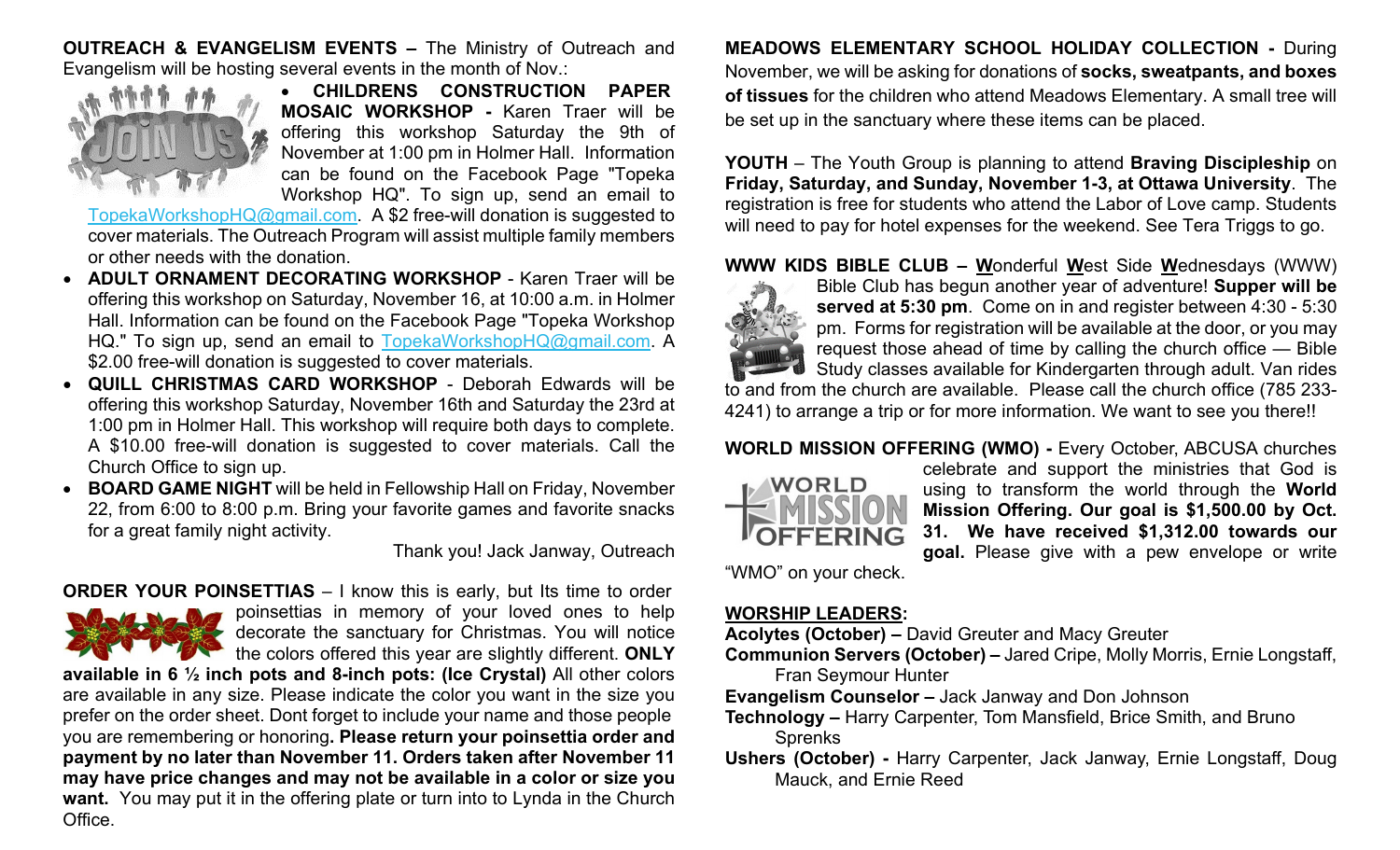**OUTREACH & EVANGELISM EVENTS –** The Ministry of Outreach and Evangelism will be hosting several events in the month of Nov.:



• **CHILDRENS CONSTRUCTION PAPER MOSAIC WORKSHOP -** Karen Traer will be offering this workshop Saturday the 9th of November at 1:00 pm in Holmer Hall. Information can be found on the Facebook Page "Topeka Workshop HQ". To sign up, send an email to

[TopekaWorkshopHQ@gmail.com.](mailto:TopekaWorkshopHQ@gmail.com) A \$2 free-will donation is suggested to cover materials. The Outreach Program will assist multiple family members or other needs with the donation.

- **ADULT ORNAMENT DECORATING WORKSHOP** Karen Traer will be offering this workshop on Saturday, November 16, at 10:00 a.m. in Holmer Hall. Information can be found on the Facebook Page "Topeka Workshop HQ." To sign up, send an email to [TopekaWorkshopHQ@gmail.com.](mailto:TopekaWorkshopHQ@gmail.com) A \$2.00 free-will donation is suggested to cover materials.
- **QUILL CHRISTMAS CARD WORKSHOP** Deborah Edwards will be offering this workshop Saturday, November 16th and Saturday the 23rd at 1:00 pm in Holmer Hall. This workshop will require both days to complete. A \$10.00 free-will donation is suggested to cover materials. Call the Church Office to sign up.
- **BOARD GAME NIGHT** will be held in Fellowship Hall on Friday, November 22, from 6:00 to 8:00 p.m. Bring your favorite games and favorite snacks for a great family night activity.

Thank you! Jack Janway, Outreach

#### **ORDER YOUR POINSETTIAS** – I know this is early, but Its time to order



poinsettias in memory of your loved ones to help decorate the sanctuary for Christmas. You will notice the colors offered this year are slightly different. **ONLY** 

**available in 6 ½ inch pots and 8-inch pots: (Ice Crystal)** All other colors are available in any size. Please indicate the color you want in the size you prefer on the order sheet. Dont forget to include your name and those people you are remembering or honoring**. Please return your poinsettia order and payment by no later than November 11. Orders taken after November 11 may have price changes and may not be available in a color or size you want.** You may put it in the offering plate or turn into to Lynda in the Church Office.

**MEADOWS ELEMENTARY SCHOOL HOLIDAY COLLECTION -** During November, we will be asking for donations of **socks, sweatpants, and boxes of tissues** for the children who attend Meadows Elementary. A small tree will be set up in the sanctuary where these items can be placed.

**YOUTH** – The Youth Group is planning to attend **Braving Discipleship** on **Friday, Saturday, and Sunday, November 1-3, at Ottawa University**. The registration is free for students who attend the Labor of Love camp. Students will need to pay for hotel expenses for the weekend. See Tera Triggs to go.

**WWW KIDS BIBLE CLUB – W**onderful **W**est Side **W**ednesdays (WWW)



Bible Club has begun another year of adventure! **Supper will be served at 5:30 pm**. Come on in and register between 4:30 - 5:30 pm. Forms for registration will be available at the door, or you may request those ahead of time by calling the church office — Bible Study classes available for Kindergarten through adult. Van rides to and from the church are available. Please call the church office (785 233-

4241) to arrange a trip or for more information. We want to see you there!!

#### **WORLD MISSION OFFERING (WMO) -** Every October, ABCUSA churches



celebrate and support the ministries that God is using to transform the world through the **World Mission Offering. Our goal is \$1,500.00 by Oct. 31. We have received \$1,312.00 towards our goal.** Please give with a pew envelope or write

"WMO" on your check.

#### **WORSHIP LEADERS:**

**Acolytes (October) –** David Greuter and Macy Greuter

- **Communion Servers (October) –** Jared Cripe, Molly Morris, Ernie Longstaff, Fran Seymour Hunter
- **Evangelism Counselor –** Jack Janway and Don Johnson
- **Technology –** Harry Carpenter, Tom Mansfield, Brice Smith, and Bruno Sprenks
- **Ushers (October) -** Harry Carpenter, Jack Janway, Ernie Longstaff, Doug Mauck, and Ernie Reed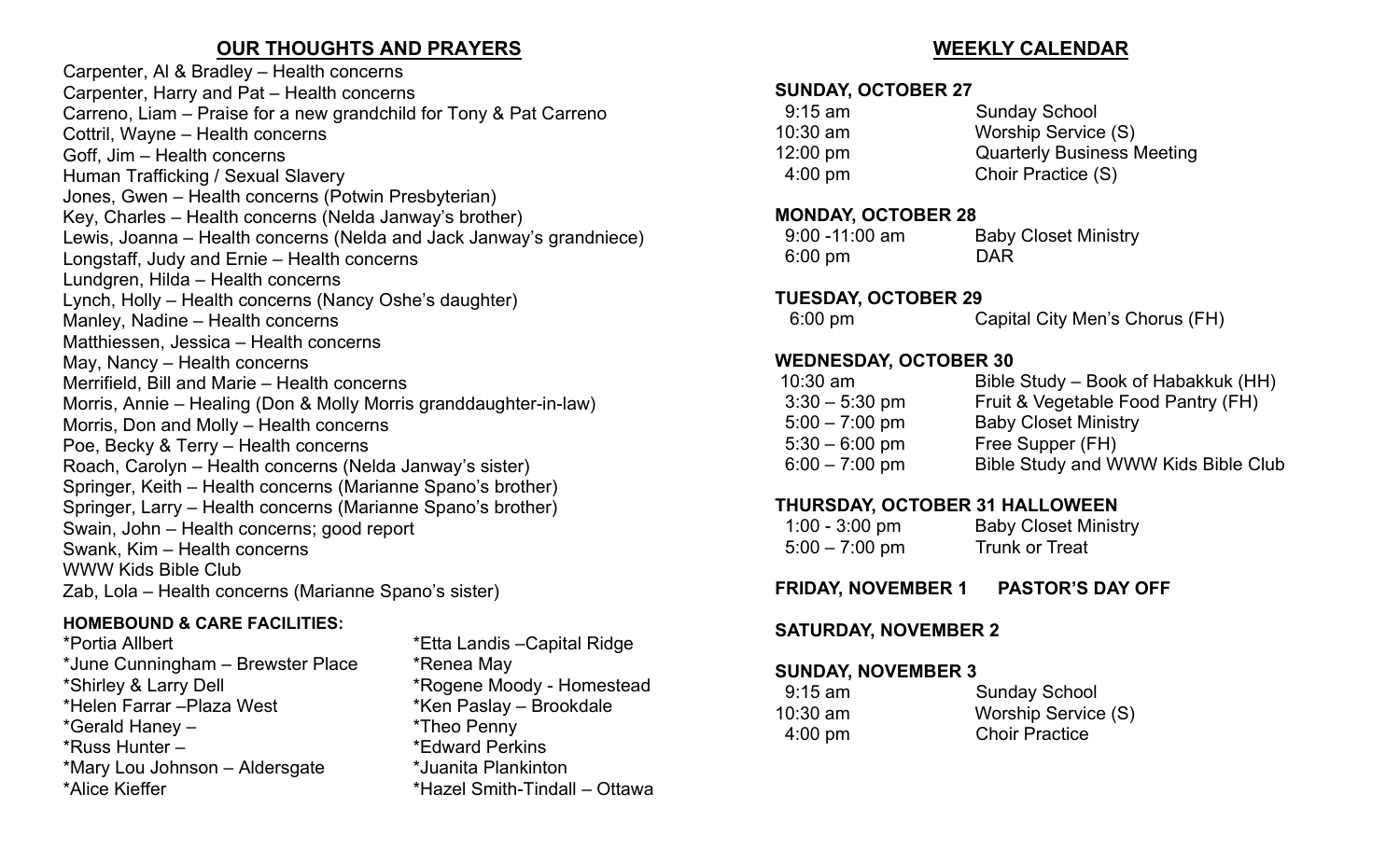# **OUR THOUGHTS AND PRAYERS**

Carpenter, Al & Bradley – Health concerns Carpenter, Harry and Pat – Health concerns Carreno, Liam – Praise for a new grandchild for Tony & Pat Carreno Cottril, Wayne – Health concerns Goff, Jim – Health concerns Human Trafficking / Sexual Slavery Jones, Gwen – Health concerns (Potwin Presbyterian) Key, Charles – Health concerns (Nelda Janway's brother) Lewis, Joanna – Health concerns (Nelda and Jack Janway's grandniece) Longstaff, Judy and Ernie – Health concerns Lundgren, Hilda – Health concerns Lynch, Holly – Health concerns (Nancy Oshe's daughter) Manley, Nadine – Health concerns Matthiessen, Jessica – Health concerns May, Nancy – Health concerns Merrifield, Bill and Marie – Health concerns Morris, Annie – Healing (Don & Molly Morris granddaughter-in-law) Morris, Don and Molly – Health concerns Poe, Becky & Terry – Health concerns Roach, Carolyn – Health concerns (Nelda Janway's sister) Springer, Keith – Health concerns (Marianne Spano's brother) Springer, Larry – Health concerns (Marianne Spano's brother) Swain, John – Health concerns; good report Swank, Kim – Health concerns WWW Kids Bible Club Zab, Lola – Health concerns (Marianne Spano's sister)

#### **HOMEBOUND & CARE FACILITIES:**

\*Portia Allbert \*Etta Landis –Capital Ridge \*June Cunningham – Brewster Place \*Renea May \*Shirley & Larry Dell \*Rogene Moody - Homestead \*Gerald Haney – \*Theo Penny \*Russ Hunter – \*Edward Perkins \*Mary Lou Johnson – Aldersgate \*Juanita Plankinton \*Alice Kieffer \*Hazel Smith-Tindall – Ottawa

\*Ken Paslay – Brookdale

# **WEEKLY CALENDAR**

#### **SUNDAY, OCTOBER 27**

| <b>Sunday School</b>              |
|-----------------------------------|
| Worship Service (S)               |
| <b>Quarterly Business Meeting</b> |
| Choir Practice (S)                |
|                                   |

#### **MONDAY, OCTOBER 28**

| $9:00 - 11:00$ am | <b>Baby Closet Ministry</b> |
|-------------------|-----------------------------|
| $6:00 \text{ pm}$ | DAR                         |

#### **TUESDAY, OCTOBER 29**

|  | 6:00 pm | Capital City Men's Chorus (FH) |  |
|--|---------|--------------------------------|--|
|--|---------|--------------------------------|--|

# **WEDNESDAY, OCTOBER 30**

| $10:30$ am       | Bible Study – Book of Habakkuk (HH) |
|------------------|-------------------------------------|
| $3:30 - 5:30$ pm | Fruit & Vegetable Food Pantry (FH)  |
| $5:00 - 7:00$ pm | <b>Baby Closet Ministry</b>         |
| $5:30 - 6:00$ pm | Free Supper (FH)                    |
| $6:00 - 7:00$ pm | Bible Study and WWW Kids Bible Club |
|                  |                                     |

# **THURSDAY, OCTOBER 31 HALLOWEEN**

| $1:00 - 3:00$ pm | <b>Baby Closet Ministry</b> |
|------------------|-----------------------------|
| $5:00 - 7:00$ pm | <b>Trunk or Treat</b>       |

# **FRIDAY, NOVEMBER 1 PASTOR'S DAY OFF**

# **SATURDAY, NOVEMBER 2**

#### **SUNDAY, NOVEMBER 3**

| $9:15$ am         | <b>Sunday School</b>  |
|-------------------|-----------------------|
| $10:30$ am        | Worship Service (S)   |
| $4:00 \text{ pm}$ | <b>Choir Practice</b> |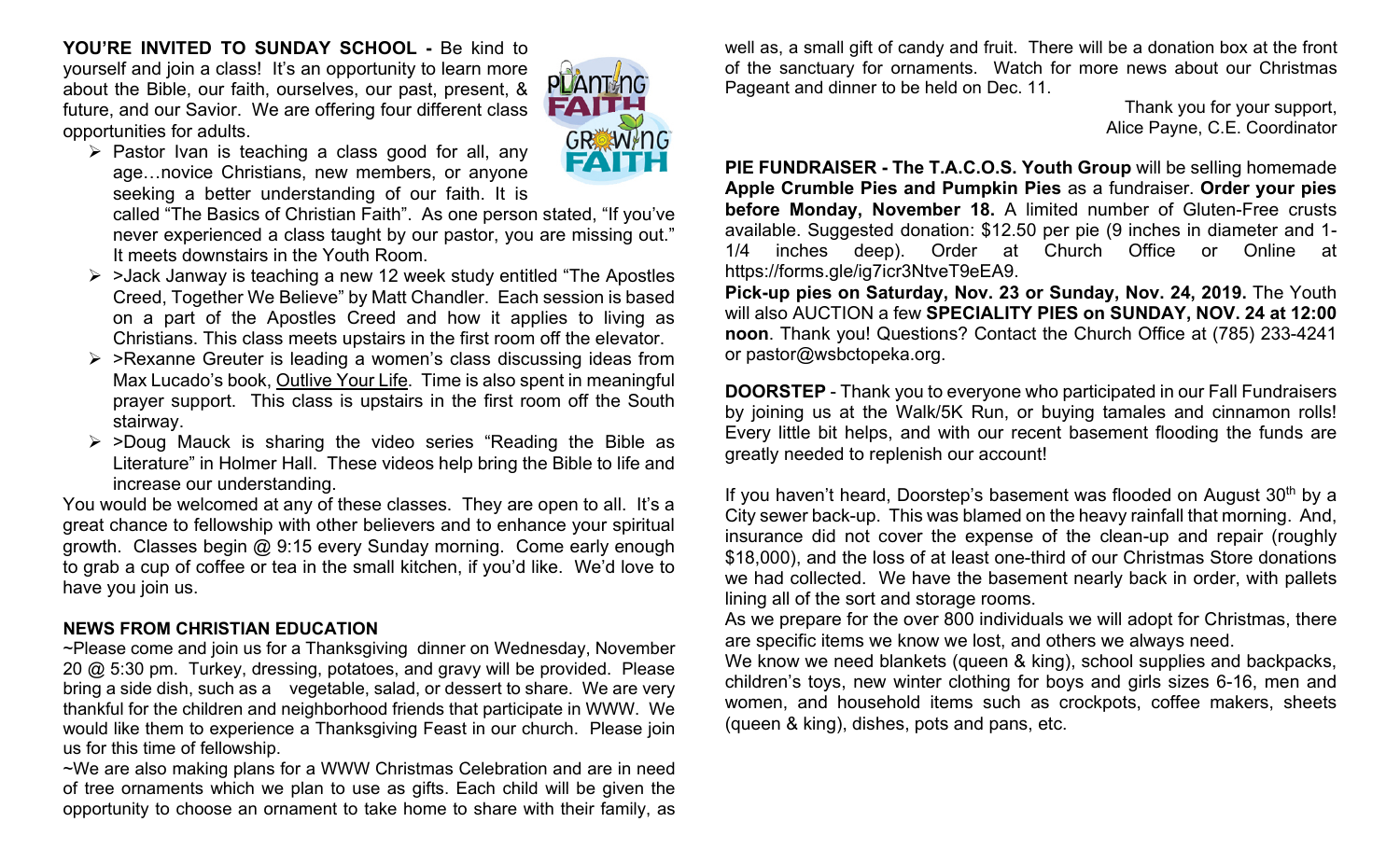**YOU'RE INVITED TO SUNDAY SCHOOL -** Be kind to yourself and join a class! It's an opportunity to learn more about the Bible, our faith, ourselves, our past, present, & future, and our Savior. We are offering four different class opportunities for adults.



 $\triangleright$  Pastor Ivan is teaching a class good for all, any age…novice Christians, new members, or anyone seeking a better understanding of our faith. It is

called "The Basics of Christian Faith". As one person stated, "If you've never experienced a class taught by our pastor, you are missing out." It meets downstairs in the Youth Room.

- $\triangleright$  >Jack Janway is teaching a new 12 week study entitled "The Apostles" Creed, Together We Believe" by Matt Chandler. Each session is based on a part of the Apostles Creed and how it applies to living as Christians. This class meets upstairs in the first room off the elevator.
- $\triangleright$  >Rexanne Greuter is leading a women's class discussing ideas from Max Lucado's book, Outlive Your Life. Time is also spent in meaningful prayer support. This class is upstairs in the first room off the South stairway.
- $\triangleright$  >Doug Mauck is sharing the video series "Reading the Bible as Literature" in Holmer Hall. These videos help bring the Bible to life and increase our understanding.

You would be welcomed at any of these classes. They are open to all. It's a great chance to fellowship with other believers and to enhance your spiritual growth. Classes begin @ 9:15 every Sunday morning. Come early enough to grab a cup of coffee or tea in the small kitchen, if you'd like. We'd love to have you join us.

# **NEWS FROM CHRISTIAN EDUCATION**

~Please come and join us for a Thanksgiving dinner on Wednesday, November 20 @ 5:30 pm. Turkey, dressing, potatoes, and gravy will be provided. Please bring a side dish, such as a vegetable, salad, or dessert to share. We are very thankful for the children and neighborhood friends that participate in WWW. We would like them to experience a Thanksgiving Feast in our church. Please join us for this time of fellowship.

~We are also making plans for a WWW Christmas Celebration and are in need of tree ornaments which we plan to use as gifts. Each child will be given the opportunity to choose an ornament to take home to share with their family, as well as, a small gift of candy and fruit. There will be a donation box at the front of the sanctuary for ornaments. Watch for more news about our Christmas Pageant and dinner to be held on Dec. 11.

> Thank you for your support, Alice Payne, C.E. Coordinator

**PIE FUNDRAISER - The T.A.C.O.S. Youth Group** will be selling homemade **Apple Crumble Pies and Pumpkin Pies** as a fundraiser. **Order your pies before Monday, November 18.** A limited number of Gluten-Free crusts available. Suggested donation: \$12.50 per pie (9 inches in diameter and 1- 1/4 inches deep). Order at Church Office or Online at https://forms.gle/ig7icr3NtveT9eEA9.

**Pick-up pies on Saturday, Nov. 23 or Sunday, Nov. 24, 2019.** The Youth will also AUCTION a few **SPECIALITY PIES on SUNDAY, NOV. 24 at 12:00 noon**. Thank you! Questions? Contact the Church Office at (785) 233-4241 or pastor@wsbctopeka.org.

**DOORSTEP** - Thank you to everyone who participated in our Fall Fundraisers by joining us at the Walk/5K Run, or buying tamales and cinnamon rolls! Every little bit helps, and with our recent basement flooding the funds are greatly needed to replenish our account!

If you haven't heard, Doorstep's basement was flooded on August  $30<sup>th</sup>$  by a City sewer back-up. This was blamed on the heavy rainfall that morning. And, insurance did not cover the expense of the clean-up and repair (roughly \$18,000), and the loss of at least one-third of our Christmas Store donations we had collected. We have the basement nearly back in order, with pallets lining all of the sort and storage rooms.

As we prepare for the over 800 individuals we will adopt for Christmas, there are specific items we know we lost, and others we always need.

We know we need blankets (queen & king), school supplies and backpacks, children's toys, new winter clothing for boys and girls sizes 6-16, men and women, and household items such as crockpots, coffee makers, sheets (queen & king), dishes, pots and pans, etc.